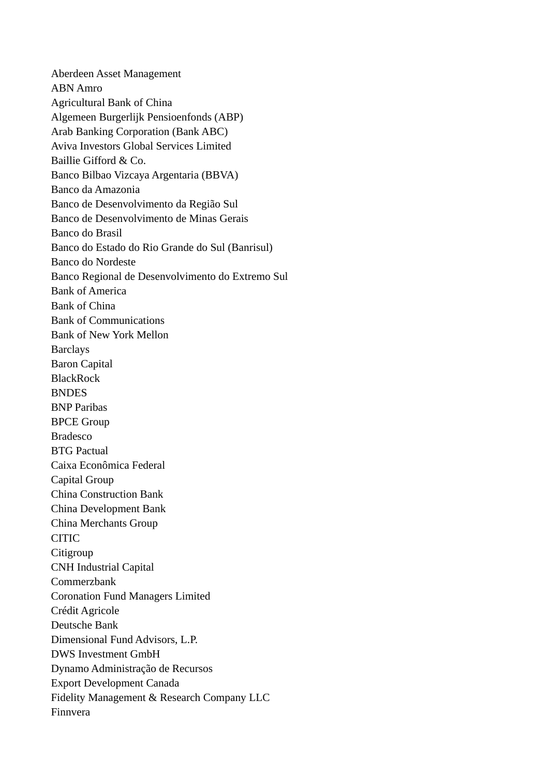Aberdeen Asset Management ABN Amro Agricultural Bank of China Algemeen Burgerlijk Pensioenfonds (ABP) Arab Banking Corporation (Bank ABC) Aviva Investors Global Services Limited Baillie Gifford & Co. Banco Bilbao Vizcaya Argentaria (BBVA) Banco da Amazonia Banco de Desenvolvimento da Região Sul Banco de Desenvolvimento de Minas Gerais Banco do Brasil Banco do Estado do Rio Grande do Sul (Banrisul) Banco do Nordeste Banco Regional de Desenvolvimento do Extremo Sul Bank of America Bank of China Bank of Communications Bank of New York Mellon **Barclays** Baron Capital **BlackRock BNDES** BNP Paribas BPCE Group Bradesco BTG Pactual Caixa Econômica Federal Capital Group China Construction Bank China Development Bank China Merchants Group CITIC **Citigroup** CNH Industrial Capital Commerzbank Coronation Fund Managers Limited Crédit Agricole Deutsche Bank Dimensional Fund Advisors, L.P. DWS Investment GmbH Dynamo Administração de Recursos Export Development Canada Fidelity Management & Research Company LLC Finnvera